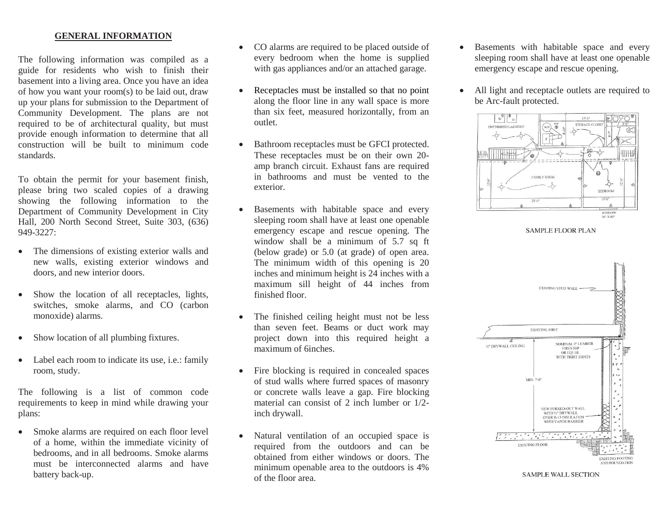## **GENERAL INFORMATION**

The following information was compiled as a guide for residents who wish to finish their basement into a living area. Once you have an idea of how you want your room(s) to be laid out, draw up your plans for submission to the Department of Community Development. The plans are not required to be of architectural quality, but must provide enough information to determine that all construction will be built to minimum code standards.

To obtain the permit for your basement finish, please bring two scaled copies of a drawing showing the following information to the Department of Community Development in City Hall, 200 North Second Street, Suite 303, (636)  $949 - 3227$ 

- The dimensions of existing exterior walls and new walls, existing exterior windows and doors, and new interior doors.
- Show the location of all receptacles, lights, switches, smoke alarms, and CO (carbon monoxide) alarms.
- Show location of all plumbing fixtures.
- Label each room to indicate its use, i.e.: family room, study.

The following is a list of common code requirements to keep in mind while drawing your plans:

 Smoke alarms are required on each floor level of a home, within the immediate vicinity of bedrooms, and in all bedrooms. Smoke alarms must be interconnected alarms and have battery back-up.

- CO alarms are required to be placed outside of every bedroom when the home is supplied with gas appliances and/or an attached garage.
- Receptacles must be installed so that no point along the floor line in any wall space is more than six feet, measured horizontally, from an outlet.
- Bathroom receptacles must be GFCI protected. These receptacles must be on their own 20 amp branch circuit. Exhaust fans are required in bathrooms and must be vented to the exterior.
- Basements with habitable space and every sleeping room shall have at least one openable emergency escape and rescue opening. The window shall be a minimum of  $5.7$  sq ft (below grade) or 5.0 (at grade) of open area. The minimum width of this opening is 20 inches and minimum height is 24 inches with a maximum sill height of 44 inches from finished floor.
- The finished ceiling height must not be less than seven feet. Beams or duct work may project down into this required height a maximum of 6inches.
- Fire blocking is required in concealed spaces of stud walls where furred spaces of masonry or concrete walls leave a gap. Fire blocking material can consist of 2 inch lumber or 1/2 inch drywall.
- Natural ventilation of an occupied space is required from the outdoors and can be obtained from either windows or doors. The minimum openable area to the outdoors is 4% of the floor area.
- Basements with habitable space and every sleeping room shall have at least one openable emergency escape and rescue opening.
- All light and receptacle outlets are required to be Arc-fault protected.



**SAMPLE FLOOR PLAN** 



**SAMPLE WALL SECTION**